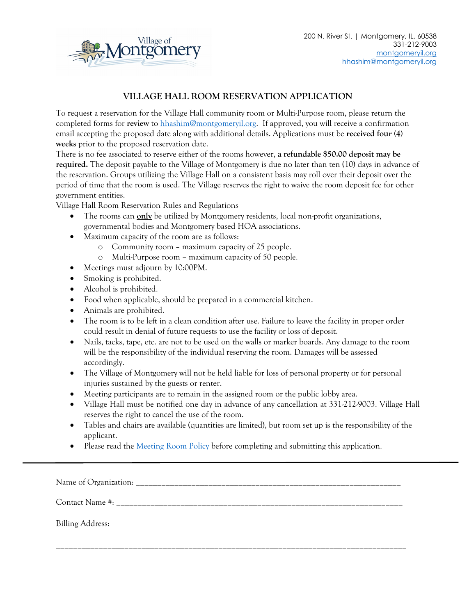

## **VILLAGE HALL ROOM RESERVATION APPLICATION**

To request a reservation for the Village Hall community room or Multi-Purpose room, please return the completed forms for **review** to [hhashim@montgomeryil.org.](mailto:hhashim@montgomeryil.org) If approved, you will receive a confirmation email accepting the proposed date along with additional details. Applications must be **received four (4) weeks** prior to the proposed reservation date.

There is no fee associated to reserve either of the rooms however, **a refundable \$50.00 deposit may be required.** The deposit payable to the Village of Montgomery is due no later than ten (10) days in advance of the reservation. Groups utilizing the Village Hall on a consistent basis may roll over their deposit over the period of time that the room is used. The Village reserves the right to waive the room deposit fee for other government entities.

Village Hall Room Reservation Rules and Regulations

- The rooms can **only** be utilized by Montgomery residents, local non-profit organizations, governmental bodies and Montgomery based HOA associations.
- Maximum capacity of the room are as follows:
	- o Community room maximum capacity of 25 people.
	- o Multi-Purpose room maximum capacity of 50 people.
- Meetings must adjourn by 10:00PM.
- Smoking is prohibited.
- Alcohol is prohibited.
- Food when applicable, should be prepared in a commercial kitchen.
- Animals are prohibited.
- The room is to be left in a clean condition after use. Failure to leave the facility in proper order could result in denial of future requests to use the facility or loss of deposit.
- Nails, tacks, tape, etc. are not to be used on the walls or marker boards. Any damage to the room will be the responsibility of the individual reserving the room. Damages will be assessed accordingly.
- The Village of Montgomery will not be held liable for loss of personal property or for personal injuries sustained by the guests or renter.
- Meeting participants are to remain in the assigned room or the public lobby area.
- Village Hall must be notified one day in advance of any cancellation at 331-212-9003. Village Hall reserves the right to cancel the use of the room.
- Tables and chairs are available (quantities are limited), but room set up is the responsibility of the applicant.
- Please read the [Meeting Room Policy](https://www.montgomeryil.org/DocumentCenter/View/139/Multi-Purpose-Room?bidId=) before completing and submitting this application.

Name of Organization:

\_\_\_\_\_\_\_\_\_\_\_\_\_\_\_\_\_\_\_\_\_\_\_\_\_\_\_\_\_\_\_\_\_\_\_\_\_\_\_\_\_\_\_\_\_\_\_\_\_\_\_\_\_\_\_\_\_\_\_\_\_\_\_\_\_\_\_\_\_\_\_\_\_\_\_\_\_\_\_\_\_\_

Contact Name #:

Billing Address: